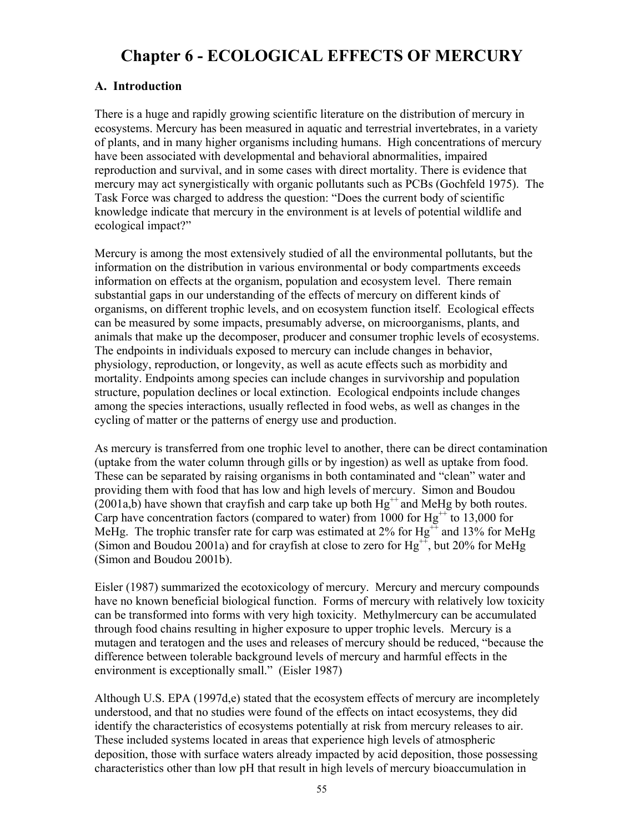# **Chapter 6 - ECOLOGICAL EFFECTS OF MERCURY**

#### **A. Introduction**

There is a huge and rapidly growing scientific literature on the distribution of mercury in ecosystems. Mercury has been measured in aquatic and terrestrial invertebrates, in a variety of plants, and in many higher organisms including humans. High concentrations of mercury have been associated with developmental and behavioral abnormalities, impaired reproduction and survival, and in some cases with direct mortality. There is evidence that mercury may act synergistically with organic pollutants such as PCBs (Gochfeld 1975). The Task Force was charged to address the question: "Does the current body of scientific knowledge indicate that mercury in the environment is at levels of potential wildlife and ecological impact?"

Mercury is among the most extensively studied of all the environmental pollutants, but the information on the distribution in various environmental or body compartments exceeds information on effects at the organism, population and ecosystem level. There remain substantial gaps in our understanding of the effects of mercury on different kinds of organisms, on different trophic levels, and on ecosystem function itself. Ecological effects can be measured by some impacts, presumably adverse, on microorganisms, plants, and animals that make up the decomposer, producer and consumer trophic levels of ecosystems. The endpoints in individuals exposed to mercury can include changes in behavior, physiology, reproduction, or longevity, as well as acute effects such as morbidity and mortality. Endpoints among species can include changes in survivorship and population structure, population declines or local extinction. Ecological endpoints include changes among the species interactions, usually reflected in food webs, as well as changes in the cycling of matter or the patterns of energy use and production.

As mercury is transferred from one trophic level to another, there can be direct contamination (uptake from the water column through gills or by ingestion) as well as uptake from food. These can be separated by raising organisms in both contaminated and "clean" water and providing them with food that has low and high levels of mercury. Simon and Boudou (2001a,b) have shown that crayfish and carp take up both  $Hg^{++}$  and MeHg by both routes. Carp have concentration factors (compared to water) from 1000 for  $Hg^{++}$  to 13,000 for MeHg. The trophic transfer rate for carp was estimated at  $2\%$  for Hg<sup>++</sup> and 13% for MeHg (Simon and Boudou 2001a) and for crayfish at close to zero for  $Hg^{++}$ , but 20% for MeHg (Simon and Boudou 2001b).

Eisler (1987) summarized the ecotoxicology of mercury. Mercury and mercury compounds have no known beneficial biological function. Forms of mercury with relatively low toxicity can be transformed into forms with very high toxicity. Methylmercury can be accumulated through food chains resulting in higher exposure to upper trophic levels. Mercury is a mutagen and teratogen and the uses and releases of mercury should be reduced, "because the difference between tolerable background levels of mercury and harmful effects in the environment is exceptionally small." (Eisler 1987)

Although U.S. EPA (1997d,e) stated that the ecosystem effects of mercury are incompletely understood, and that no studies were found of the effects on intact ecosystems, they did identify the characteristics of ecosystems potentially at risk from mercury releases to air. These included systems located in areas that experience high levels of atmospheric deposition, those with surface waters already impacted by acid deposition, those possessing characteristics other than low pH that result in high levels of mercury bioaccumulation in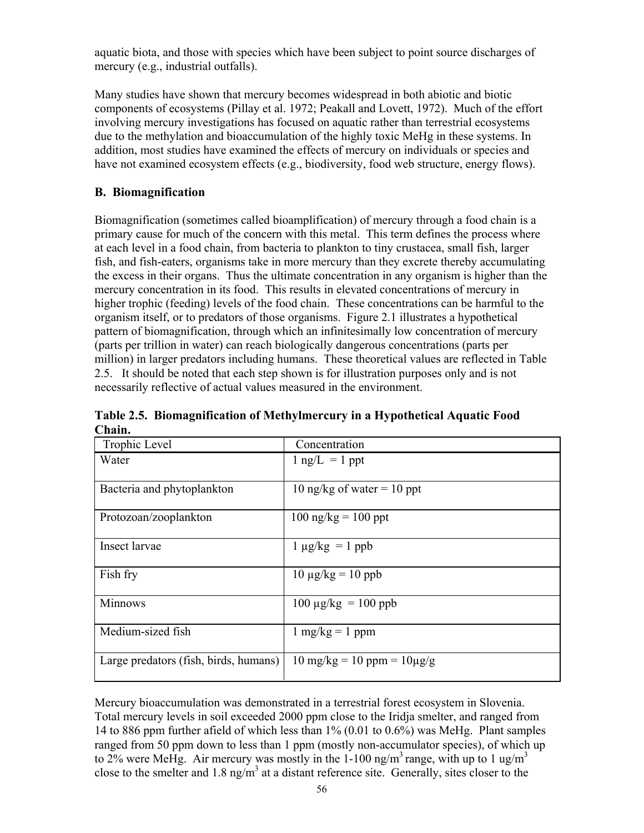aquatic biota, and those with species which have been subject to point source discharges of mercury (e.g., industrial outfalls).

Many studies have shown that mercury becomes widespread in both abiotic and biotic components of ecosystems (Pillay et al. 1972; Peakall and Lovett, 1972). Much of the effort involving mercury investigations has focused on aquatic rather than terrestrial ecosystems due to the methylation and bioaccumulation of the highly toxic MeHg in these systems. In addition, most studies have examined the effects of mercury on individuals or species and have not examined ecosystem effects (e.g., biodiversity, food web structure, energy flows).

## **B. Biomagnification**

Biomagnification (sometimes called bioamplification) of mercury through a food chain is a primary cause for much of the concern with this metal. This term defines the process where at each level in a food chain, from bacteria to plankton to tiny crustacea, small fish, larger fish, and fish-eaters, organisms take in more mercury than they excrete thereby accumulating the excess in their organs. Thus the ultimate concentration in any organism is higher than the mercury concentration in its food. This results in elevated concentrations of mercury in higher trophic (feeding) levels of the food chain. These concentrations can be harmful to the organism itself, or to predators of those organisms. Figure 2.1 illustrates a hypothetical pattern of biomagnification, through which an infinitesimally low concentration of mercury (parts per trillion in water) can reach biologically dangerous concentrations (parts per million) in larger predators including humans. These theoretical values are reflected in Table 2.5. It should be noted that each step shown is for illustration purposes only and is not necessarily reflective of actual values measured in the environment.

| Trophic Level                         | Concentration                                          |
|---------------------------------------|--------------------------------------------------------|
| Water                                 | $1$ ng/L = 1 ppt                                       |
| Bacteria and phytoplankton            | 10 ng/kg of water = 10 ppt                             |
| Protozoan/zooplankton                 | $100 \text{ ng/kg} = 100 \text{ ppt}$                  |
| Insect larvae                         | $1 \mu g/kg = 1$ ppb                                   |
| Fish fry                              | $10 \mu g/kg = 10 \text{ ppb}$                         |
| <b>Minnows</b>                        | $100 \mu g/kg = 100 \text{ ppb}$                       |
| Medium-sized fish                     | $1 \text{ mg/kg} = 1 \text{ ppm}$                      |
| Large predators (fish, birds, humans) | $10 \text{ mg/kg} = 10 \text{ ppm} = 10 \mu\text{g/g}$ |

**Table 2.5. Biomagnification of Methylmercury in a Hypothetical Aquatic Food Chain.**

Mercury bioaccumulation was demonstrated in a terrestrial forest ecosystem in Slovenia. Total mercury levels in soil exceeded 2000 ppm close to the Iridja smelter, and ranged from 14 to 886 ppm further afield of which less than 1% (0.01 to 0.6%) was MeHg. Plant samples ranged from 50 ppm down to less than 1 ppm (mostly non-accumulator species), of which up to 2% were MeHg. Air mercury was mostly in the  $1-100$  ng/m<sup>3</sup> range, with up to 1 ug/m<sup>3</sup> close to the smelter and 1.8 ng/m<sup>3</sup> at a distant reference site. Generally, sites closer to the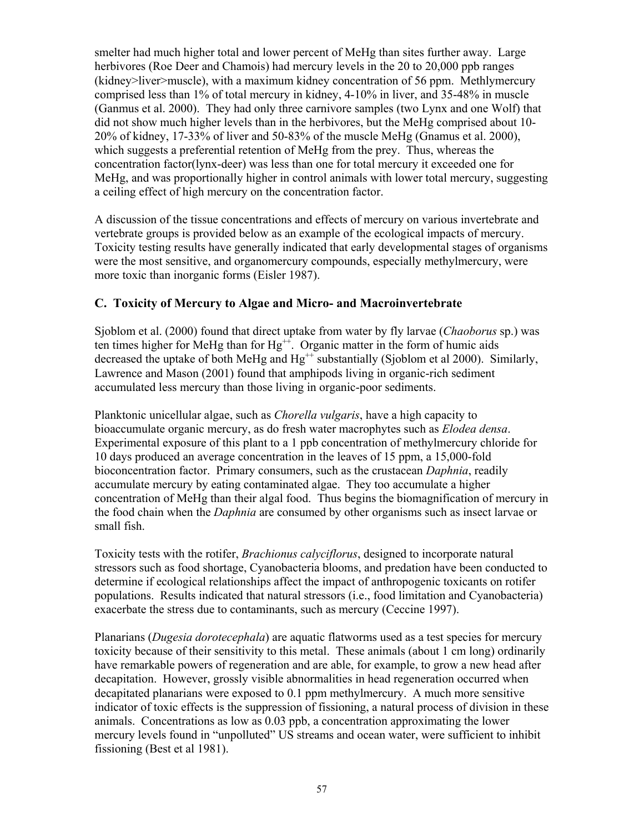smelter had much higher total and lower percent of MeHg than sites further away. Large herbivores (Roe Deer and Chamois) had mercury levels in the 20 to 20,000 ppb ranges (kidney>liver>muscle), with a maximum kidney concentration of 56 ppm. Methlymercury comprised less than 1% of total mercury in kidney, 4-10% in liver, and 35-48% in muscle (Ganmus et al. 2000). They had only three carnivore samples (two Lynx and one Wolf) that did not show much higher levels than in the herbivores, but the MeHg comprised about 10- 20% of kidney, 17-33% of liver and 50-83% of the muscle MeHg (Gnamus et al. 2000), which suggests a preferential retention of MeHg from the prey. Thus, whereas the concentration factor(lynx-deer) was less than one for total mercury it exceeded one for MeHg, and was proportionally higher in control animals with lower total mercury, suggesting a ceiling effect of high mercury on the concentration factor.

A discussion of the tissue concentrations and effects of mercury on various invertebrate and vertebrate groups is provided below as an example of the ecological impacts of mercury. Toxicity testing results have generally indicated that early developmental stages of organisms were the most sensitive, and organomercury compounds, especially methylmercury, were more toxic than inorganic forms (Eisler 1987).

## **C. Toxicity of Mercury to Algae and Micro- and Macroinvertebrate**

Sjoblom et al. (2000) found that direct uptake from water by fly larvae (*Chaoborus* sp.) was ten times higher for MeHg than for  $Hg^{++}$ . Organic matter in the form of humic aids decreased the uptake of both MeHg and  $Hg^{++}$  substantially (Sjoblom et al 2000). Similarly, Lawrence and Mason (2001) found that amphipods living in organic-rich sediment accumulated less mercury than those living in organic-poor sediments.

Planktonic unicellular algae, such as *Chorella vulgaris*, have a high capacity to bioaccumulate organic mercury, as do fresh water macrophytes such as *Elodea densa*. Experimental exposure of this plant to a 1 ppb concentration of methylmercury chloride for 10 days produced an average concentration in the leaves of 15 ppm, a 15,000-fold bioconcentration factor. Primary consumers, such as the crustacean *Daphnia*, readily accumulate mercury by eating contaminated algae. They too accumulate a higher concentration of MeHg than their algal food. Thus begins the biomagnification of mercury in the food chain when the *Daphnia* are consumed by other organisms such as insect larvae or small fish.

Toxicity tests with the rotifer, *Brachionus calyciflorus*, designed to incorporate natural stressors such as food shortage, Cyanobacteria blooms, and predation have been conducted to determine if ecological relationships affect the impact of anthropogenic toxicants on rotifer populations. Results indicated that natural stressors (i.e., food limitation and Cyanobacteria) exacerbate the stress due to contaminants, such as mercury (Ceccine 1997).

Planarians (*Dugesia dorotecephala*) are aquatic flatworms used as a test species for mercury toxicity because of their sensitivity to this metal. These animals (about 1 cm long) ordinarily have remarkable powers of regeneration and are able, for example, to grow a new head after decapitation. However, grossly visible abnormalities in head regeneration occurred when decapitated planarians were exposed to 0.1 ppm methylmercury. A much more sensitive indicator of toxic effects is the suppression of fissioning, a natural process of division in these animals. Concentrations as low as 0.03 ppb, a concentration approximating the lower mercury levels found in "unpolluted" US streams and ocean water, were sufficient to inhibit fissioning (Best et al 1981).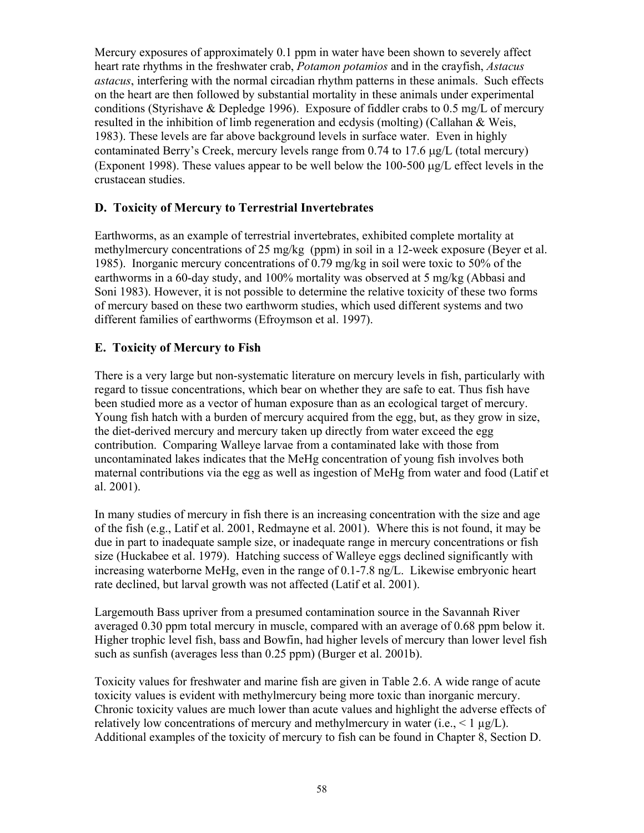Mercury exposures of approximately 0.1 ppm in water have been shown to severely affect heart rate rhythms in the freshwater crab, *Potamon potamios* and in the crayfish, *Astacus astacus*, interfering with the normal circadian rhythm patterns in these animals. Such effects on the heart are then followed by substantial mortality in these animals under experimental conditions (Styrishave & Depledge 1996). Exposure of fiddler crabs to 0.5 mg/L of mercury resulted in the inhibition of limb regeneration and ecdysis (molting) (Callahan & Weis, 1983). These levels are far above background levels in surface water. Even in highly contaminated Berry's Creek, mercury levels range from 0.74 to 17.6 µg/L (total mercury) (Exponent 1998). These values appear to be well below the 100-500 µg/L effect levels in the crustacean studies.

## **D. Toxicity of Mercury to Terrestrial Invertebrates**

Earthworms, as an example of terrestrial invertebrates, exhibited complete mortality at methylmercury concentrations of 25 mg/kg (ppm) in soil in a 12-week exposure (Beyer et al. 1985). Inorganic mercury concentrations of 0.79 mg/kg in soil were toxic to 50% of the earthworms in a 60-day study, and 100% mortality was observed at 5 mg/kg (Abbasi and Soni 1983). However, it is not possible to determine the relative toxicity of these two forms of mercury based on these two earthworm studies, which used different systems and two different families of earthworms (Efroymson et al. 1997).

#### **E. Toxicity of Mercury to Fish**

There is a very large but non-systematic literature on mercury levels in fish, particularly with regard to tissue concentrations, which bear on whether they are safe to eat. Thus fish have been studied more as a vector of human exposure than as an ecological target of mercury. Young fish hatch with a burden of mercury acquired from the egg, but, as they grow in size, the diet-derived mercury and mercury taken up directly from water exceed the egg contribution. Comparing Walleye larvae from a contaminated lake with those from uncontaminated lakes indicates that the MeHg concentration of young fish involves both maternal contributions via the egg as well as ingestion of MeHg from water and food (Latif et al. 2001).

In many studies of mercury in fish there is an increasing concentration with the size and age of the fish (e.g., Latif et al. 2001, Redmayne et al. 2001). Where this is not found, it may be due in part to inadequate sample size, or inadequate range in mercury concentrations or fish size (Huckabee et al. 1979). Hatching success of Walleye eggs declined significantly with increasing waterborne MeHg, even in the range of 0.1-7.8 ng/L. Likewise embryonic heart rate declined, but larval growth was not affected (Latif et al. 2001).

Largemouth Bass upriver from a presumed contamination source in the Savannah River averaged 0.30 ppm total mercury in muscle, compared with an average of 0.68 ppm below it. Higher trophic level fish, bass and Bowfin, had higher levels of mercury than lower level fish such as sunfish (averages less than 0.25 ppm) (Burger et al. 2001b).

Toxicity values for freshwater and marine fish are given in Table 2.6. A wide range of acute toxicity values is evident with methylmercury being more toxic than inorganic mercury. Chronic toxicity values are much lower than acute values and highlight the adverse effects of relatively low concentrations of mercury and methylmercury in water (i.e.,  $\leq 1 \mu g/L$ ). Additional examples of the toxicity of mercury to fish can be found in Chapter 8, Section D.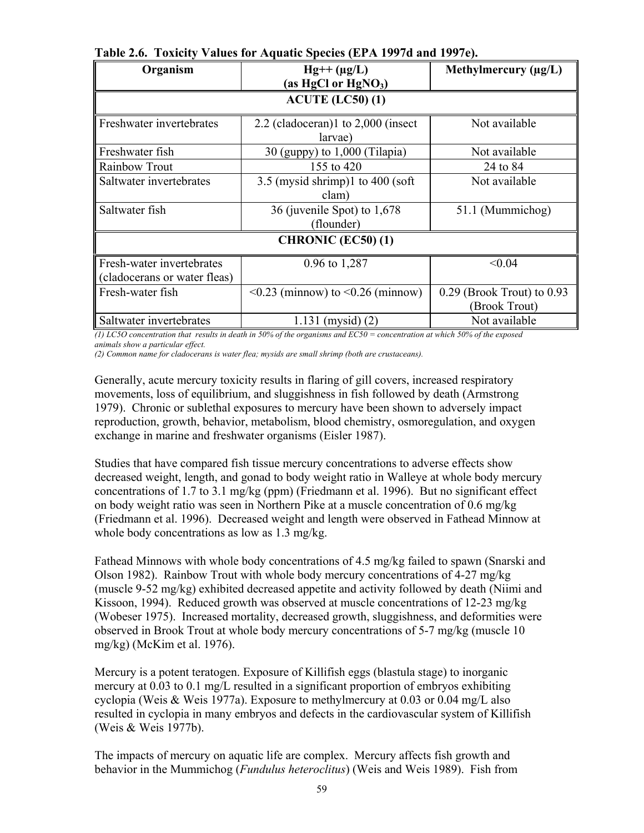| Organism                                                  | $Hg++(\mu g/L)$                               | Methylmercury $(\mu g/L)$                     |  |  |  |  |
|-----------------------------------------------------------|-----------------------------------------------|-----------------------------------------------|--|--|--|--|
|                                                           | (as HgCl or HgNO <sub>3</sub> )               |                                               |  |  |  |  |
| $ACUTE$ (LC50) (1)                                        |                                               |                                               |  |  |  |  |
| Freshwater invertebrates                                  | 2.2 (cladoceran)1 to 2,000 (insect<br>larvae) | Not available                                 |  |  |  |  |
| Freshwater fish                                           | 30 (guppy) to $1,000$ (Tilapia)               | Not available                                 |  |  |  |  |
| Rainbow Trout                                             | 155 to 420                                    | 24 to 84                                      |  |  |  |  |
| Saltwater invertebrates                                   | 3.5 (mysid shrimp) $1$ to 400 (soft<br>clam)  | Not available                                 |  |  |  |  |
| Saltwater fish                                            | 36 (juvenile Spot) to 1,678<br>(flounder)     | 51.1 (Mummichog)                              |  |  |  |  |
| <b>CHRONIC (EC50) (1)</b>                                 |                                               |                                               |  |  |  |  |
| Fresh-water invertebrates<br>(cladocerans or water fleas) | 0.96 to 1,287                                 | < 0.04                                        |  |  |  |  |
| Fresh-water fish                                          | $\leq 0.23$ (minnow) to $\leq 0.26$ (minnow)  | $0.29$ (Brook Trout) to 0.93<br>(Brook Trout) |  |  |  |  |
| Saltwater invertebrates                                   | $1.131$ (mysid) $(2)$                         | Not available                                 |  |  |  |  |

**Table 2.6. Toxicity Values for Aquatic Species (EPA 1997d and 1997e).**

*(1) LC5O concentration that results in death in 50% of the organisms and EC50 = concentration at which 50% of the exposed animals show a particular effect.* 

*(2) Common name for cladocerans is water flea; mysids are small shrimp (both are crustaceans).*

Generally, acute mercury toxicity results in flaring of gill covers, increased respiratory movements, loss of equilibrium, and sluggishness in fish followed by death (Armstrong 1979). Chronic or sublethal exposures to mercury have been shown to adversely impact reproduction, growth, behavior, metabolism, blood chemistry, osmoregulation, and oxygen exchange in marine and freshwater organisms (Eisler 1987).

Studies that have compared fish tissue mercury concentrations to adverse effects show decreased weight, length, and gonad to body weight ratio in Walleye at whole body mercury concentrations of 1.7 to 3.1 mg/kg (ppm) (Friedmann et al. 1996). But no significant effect on body weight ratio was seen in Northern Pike at a muscle concentration of 0.6 mg/kg (Friedmann et al. 1996). Decreased weight and length were observed in Fathead Minnow at whole body concentrations as low as 1.3 mg/kg.

Fathead Minnows with whole body concentrations of 4.5 mg/kg failed to spawn (Snarski and Olson 1982). Rainbow Trout with whole body mercury concentrations of 4-27 mg/kg (muscle 9-52 mg/kg) exhibited decreased appetite and activity followed by death (Niimi and Kissoon, 1994). Reduced growth was observed at muscle concentrations of 12-23 mg/kg (Wobeser 1975). Increased mortality, decreased growth, sluggishness, and deformities were observed in Brook Trout at whole body mercury concentrations of 5-7 mg/kg (muscle 10 mg/kg) (McKim et al. 1976).

Mercury is a potent teratogen. Exposure of Killifish eggs (blastula stage) to inorganic mercury at 0.03 to 0.1 mg/L resulted in a significant proportion of embryos exhibiting cyclopia (Weis & Weis 1977a). Exposure to methylmercury at 0.03 or 0.04 mg/L also resulted in cyclopia in many embryos and defects in the cardiovascular system of Killifish (Weis & Weis 1977b).

The impacts of mercury on aquatic life are complex. Mercury affects fish growth and behavior in the Mummichog (*Fundulus heteroclitus*) (Weis and Weis 1989). Fish from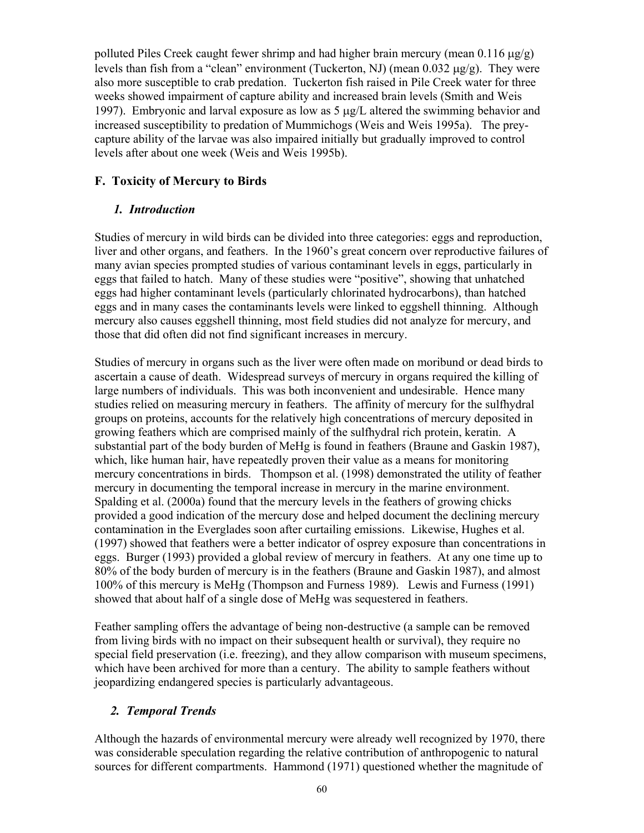polluted Piles Creek caught fewer shrimp and had higher brain mercury (mean  $0.116 \mu g/g$ ) levels than fish from a "clean" environment (Tuckerton, NJ) (mean  $0.032 \mu g/g$ ). They were also more susceptible to crab predation. Tuckerton fish raised in Pile Creek water for three weeks showed impairment of capture ability and increased brain levels (Smith and Weis 1997). Embryonic and larval exposure as low as 5 µg/L altered the swimming behavior and increased susceptibility to predation of Mummichogs (Weis and Weis 1995a). The preycapture ability of the larvae was also impaired initially but gradually improved to control levels after about one week (Weis and Weis 1995b).

## **F. Toxicity of Mercury to Birds**

## *1. Introduction*

Studies of mercury in wild birds can be divided into three categories: eggs and reproduction, liver and other organs, and feathers. In the 1960's great concern over reproductive failures of many avian species prompted studies of various contaminant levels in eggs, particularly in eggs that failed to hatch. Many of these studies were "positive", showing that unhatched eggs had higher contaminant levels (particularly chlorinated hydrocarbons), than hatched eggs and in many cases the contaminants levels were linked to eggshell thinning. Although mercury also causes eggshell thinning, most field studies did not analyze for mercury, and those that did often did not find significant increases in mercury.

Studies of mercury in organs such as the liver were often made on moribund or dead birds to ascertain a cause of death. Widespread surveys of mercury in organs required the killing of large numbers of individuals. This was both inconvenient and undesirable. Hence many studies relied on measuring mercury in feathers. The affinity of mercury for the sulfhydral groups on proteins, accounts for the relatively high concentrations of mercury deposited in growing feathers which are comprised mainly of the sulfhydral rich protein, keratin. A substantial part of the body burden of MeHg is found in feathers (Braune and Gaskin 1987), which, like human hair, have repeatedly proven their value as a means for monitoring mercury concentrations in birds. Thompson et al. (1998) demonstrated the utility of feather mercury in documenting the temporal increase in mercury in the marine environment. Spalding et al. (2000a) found that the mercury levels in the feathers of growing chicks provided a good indication of the mercury dose and helped document the declining mercury contamination in the Everglades soon after curtailing emissions. Likewise, Hughes et al. (1997) showed that feathers were a better indicator of osprey exposure than concentrations in eggs. Burger (1993) provided a global review of mercury in feathers. At any one time up to 80% of the body burden of mercury is in the feathers (Braune and Gaskin 1987), and almost 100% of this mercury is MeHg (Thompson and Furness 1989). Lewis and Furness (1991) showed that about half of a single dose of MeHg was sequestered in feathers.

Feather sampling offers the advantage of being non-destructive (a sample can be removed from living birds with no impact on their subsequent health or survival), they require no special field preservation (i.e. freezing), and they allow comparison with museum specimens, which have been archived for more than a century. The ability to sample feathers without jeopardizing endangered species is particularly advantageous.

## *2. Temporal Trends*

Although the hazards of environmental mercury were already well recognized by 1970, there was considerable speculation regarding the relative contribution of anthropogenic to natural sources for different compartments. Hammond (1971) questioned whether the magnitude of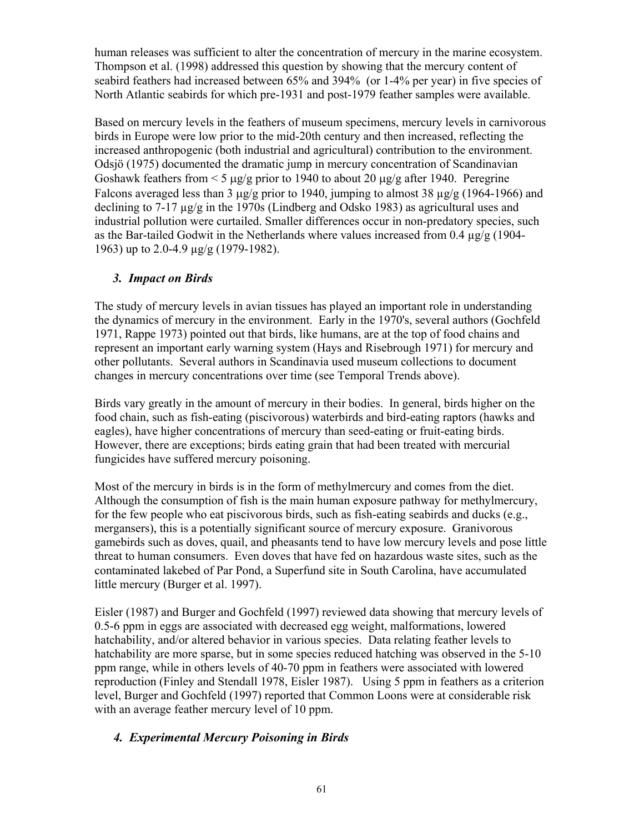human releases was sufficient to alter the concentration of mercury in the marine ecosystem. Thompson et al. (1998) addressed this question by showing that the mercury content of seabird feathers had increased between 65% and 394% (or 1-4% per year) in five species of North Atlantic seabirds for which pre-1931 and post-1979 feather samples were available.

Based on mercury levels in the feathers of museum specimens, mercury levels in carnivorous birds in Europe were low prior to the mid-20th century and then increased, reflecting the increased anthropogenic (both industrial and agricultural) contribution to the environment. Odsjö (1975) documented the dramatic jump in mercury concentration of Scandinavian Goshawk feathers from < 5 µg/g prior to 1940 to about 20 µg/g after 1940. Peregrine Falcons averaged less than 3  $\mu$ g/g prior to 1940, jumping to almost 38  $\mu$ g/g (1964-1966) and declining to 7-17 µg/g in the 1970s (Lindberg and Odsko 1983) as agricultural uses and industrial pollution were curtailed. Smaller differences occur in non-predatory species, such as the Bar-tailed Godwit in the Netherlands where values increased from 0.4 µg/g (1904- 1963) up to 2.0-4.9 µg/g (1979-1982).

#### *3. Impact on Birds*

The study of mercury levels in avian tissues has played an important role in understanding the dynamics of mercury in the environment. Early in the 1970's, several authors (Gochfeld 1971, Rappe 1973) pointed out that birds, like humans, are at the top of food chains and represent an important early warning system (Hays and Risebrough 1971) for mercury and other pollutants. Several authors in Scandinavia used museum collections to document changes in mercury concentrations over time (see Temporal Trends above).

Birds vary greatly in the amount of mercury in their bodies. In general, birds higher on the food chain, such as fish-eating (piscivorous) waterbirds and bird-eating raptors (hawks and eagles), have higher concentrations of mercury than seed-eating or fruit-eating birds. However, there are exceptions; birds eating grain that had been treated with mercurial fungicides have suffered mercury poisoning.

Most of the mercury in birds is in the form of methylmercury and comes from the diet. Although the consumption of fish is the main human exposure pathway for methylmercury, for the few people who eat piscivorous birds, such as fish-eating seabirds and ducks (e.g., mergansers), this is a potentially significant source of mercury exposure. Granivorous gamebirds such as doves, quail, and pheasants tend to have low mercury levels and pose little threat to human consumers. Even doves that have fed on hazardous waste sites, such as the contaminated lakebed of Par Pond, a Superfund site in South Carolina, have accumulated little mercury (Burger et al. 1997).

Eisler (1987) and Burger and Gochfeld (1997) reviewed data showing that mercury levels of 0.5-6 ppm in eggs are associated with decreased egg weight, malformations, lowered hatchability, and/or altered behavior in various species. Data relating feather levels to hatchability are more sparse, but in some species reduced hatching was observed in the 5-10 ppm range, while in others levels of 40-70 ppm in feathers were associated with lowered reproduction (Finley and Stendall 1978, Eisler 1987). Using 5 ppm in feathers as a criterion level, Burger and Gochfeld (1997) reported that Common Loons were at considerable risk with an average feather mercury level of 10 ppm.

## *4. Experimental Mercury Poisoning in Birds*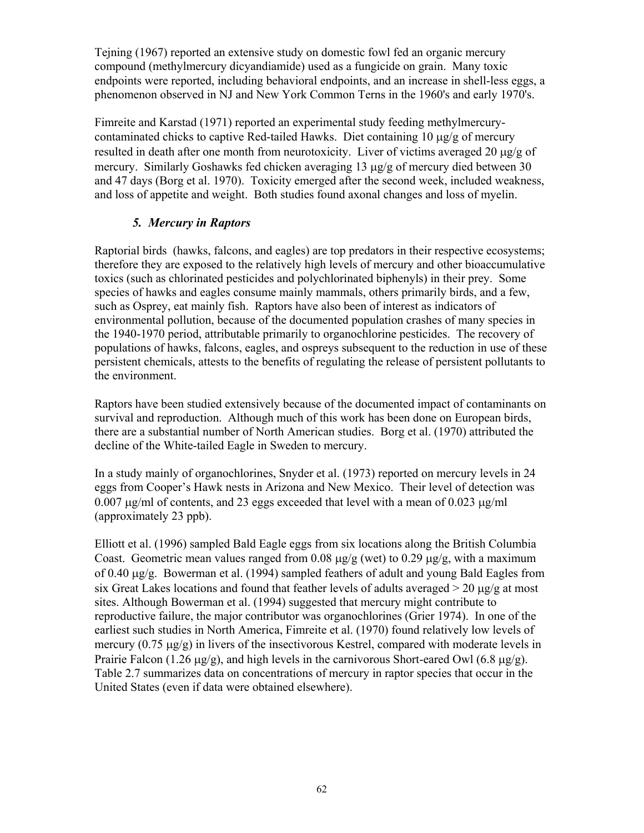Tejning (1967) reported an extensive study on domestic fowl fed an organic mercury compound (methylmercury dicyandiamide) used as a fungicide on grain. Many toxic endpoints were reported, including behavioral endpoints, and an increase in shell-less eggs, a phenomenon observed in NJ and New York Common Terns in the 1960's and early 1970's.

Fimreite and Karstad (1971) reported an experimental study feeding methylmercurycontaminated chicks to captive Red-tailed Hawks. Diet containing  $10 \mu g/g$  of mercury resulted in death after one month from neurotoxicity. Liver of victims averaged 20 µg/g of mercury. Similarly Goshawks fed chicken averaging 13 µg/g of mercury died between 30 and 47 days (Borg et al. 1970). Toxicity emerged after the second week, included weakness, and loss of appetite and weight. Both studies found axonal changes and loss of myelin.

## *5. Mercury in Raptors*

Raptorial birds (hawks, falcons, and eagles) are top predators in their respective ecosystems; therefore they are exposed to the relatively high levels of mercury and other bioaccumulative toxics (such as chlorinated pesticides and polychlorinated biphenyls) in their prey. Some species of hawks and eagles consume mainly mammals, others primarily birds, and a few, such as Osprey, eat mainly fish. Raptors have also been of interest as indicators of environmental pollution, because of the documented population crashes of many species in the 1940-1970 period, attributable primarily to organochlorine pesticides. The recovery of populations of hawks, falcons, eagles, and ospreys subsequent to the reduction in use of these persistent chemicals, attests to the benefits of regulating the release of persistent pollutants to the environment.

Raptors have been studied extensively because of the documented impact of contaminants on survival and reproduction. Although much of this work has been done on European birds, there are a substantial number of North American studies. Borg et al. (1970) attributed the decline of the White-tailed Eagle in Sweden to mercury.

In a study mainly of organochlorines, Snyder et al. (1973) reported on mercury levels in 24 eggs from Cooper's Hawk nests in Arizona and New Mexico. Their level of detection was  $0.007 \mu\text{g/ml}$  of contents, and 23 eggs exceeded that level with a mean of 0.023  $\mu\text{g/ml}$ (approximately 23 ppb).

Elliott et al. (1996) sampled Bald Eagle eggs from six locations along the British Columbia Coast. Geometric mean values ranged from 0.08  $\mu$ g/g (wet) to 0.29  $\mu$ g/g, with a maximum of 0.40 µg/g. Bowerman et al. (1994) sampled feathers of adult and young Bald Eagles from six Great Lakes locations and found that feather levels of adults averaged  $>$  20  $\mu$ g/g at most sites. Although Bowerman et al. (1994) suggested that mercury might contribute to reproductive failure, the major contributor was organochlorines (Grier 1974). In one of the earliest such studies in North America, Fimreite et al. (1970) found relatively low levels of mercury  $(0.75 \mu g/g)$  in livers of the insectivorous Kestrel, compared with moderate levels in Prairie Falcon (1.26  $\mu$ g/g), and high levels in the carnivorous Short-eared Owl (6.8  $\mu$ g/g). Table 2.7 summarizes data on concentrations of mercury in raptor species that occur in the United States (even if data were obtained elsewhere).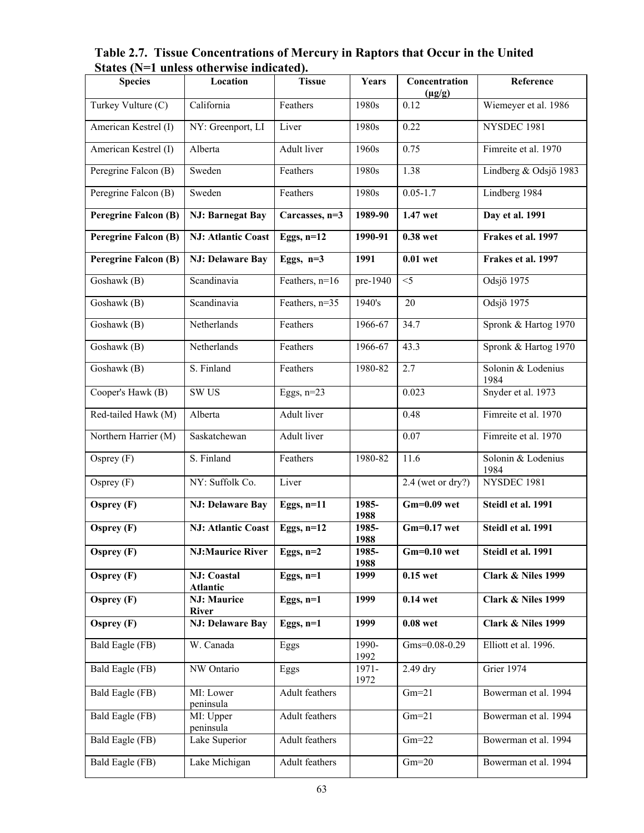**Table 2.7. Tissue Concentrations of Mercury in Raptors that Occur in the United States (N=1 unless otherwise indicated).**

| <b>Species</b>              | Location                               | <b>Tissue</b>      | Years         | Concentration<br>$(\mu g/g)$ | Reference                     |
|-----------------------------|----------------------------------------|--------------------|---------------|------------------------------|-------------------------------|
| Turkey Vulture (C)          | California                             | Feathers           | 1980s         | 0.12                         | Wiemeyer et al. 1986          |
| American Kestrel (I)        | NY: Greenport, LI                      | Liver              | 1980s         | 0.22                         | NYSDEC 1981                   |
| American Kestrel (I)        | Alberta                                | Adult liver        | 1960s         | 0.75                         | Fimreite et al. 1970          |
| Peregrine Falcon (B)        | Sweden                                 | Feathers           | 1980s         | 1.38                         | Lindberg & Odsjö 1983         |
| Peregrine Falcon (B)        | Sweden                                 | Feathers           | 1980s         | $0.05 - 1.7$                 | Lindberg 1984                 |
| <b>Peregrine Falcon (B)</b> | <b>NJ: Barnegat Bay</b>                | Carcasses, n=3     | 1989-90       | 1.47 wet                     | Day et al. 1991               |
| <b>Peregrine Falcon (B)</b> | <b>NJ: Atlantic Coast</b>              | Eggs, $n=12$       | 1990-91       | 0.38 wet                     | Frakes et al. 1997            |
| <b>Peregrine Falcon (B)</b> | NJ: Delaware Bay                       | Eggs, $n=3$        | 1991          | $0.01$ wet                   | Frakes et al. 1997            |
| Goshawk (B)                 | Scandinavia                            | Feathers, n=16     | pre-1940      | $<$ 5                        | Odsjö 1975                    |
| Goshawk (B)                 | Scandinavia                            | Feathers, n=35     | 1940's        | 20                           | Odsjö 1975                    |
| Goshawk (B)                 | Netherlands                            | Feathers           | 1966-67       | 34.7                         | Spronk & Hartog 1970          |
| Goshawk (B)                 | Netherlands                            | Feathers           | 1966-67       | 43.3                         | Spronk & Hartog 1970          |
| Goshawk (B)                 | S. Finland                             | Feathers           | 1980-82       | 2.7                          | Solonin & Lodenius<br>1984    |
| Cooper's Hawk (B)           | SW US                                  | Eggs, $n=23$       |               | 0.023                        | Snyder et al. 1973            |
| Red-tailed Hawk (M)         | Alberta                                | <b>Adult</b> liver |               | 0.48                         | Fimreite et al. 1970          |
| Northern Harrier (M)        | Saskatchewan                           | <b>Adult</b> liver |               | 0.07                         | Fimreite et al. 1970          |
| Osprey (F)                  | S. Finland                             | Feathers           | 1980-82       | 11.6                         | Solonin & Lodenius<br>1984    |
| Osprey (F)                  | NY: Suffolk Co.                        | Liver              |               | $2.4$ (wet or dry?)          | NYSDEC 1981                   |
| Osprey (F)                  | <b>NJ: Delaware Bay</b>                | Eggs, $n=11$       | 1985-<br>1988 | $Gm=0.09$ wet                | Steidl et al. 1991            |
| Osprey (F)                  | <b>NJ: Atlantic Coast</b>              | Eggs, $n=12$       | 1985-<br>1988 | $Gm=0.17$ wet                | Steidl et al. 1991            |
| Osprey $(F)$                | <b>NJ:Maurice River</b>                | Eggs, $n=2$        | 1985-<br>1988 | $Gm=0.10$ wet                | Steidl et al. 1991            |
| Osprey (F)                  | <b>NJ</b> : Coastal<br><b>Atlantic</b> | Eggs, $n=1$        | 1999          | $0.15$ wet                   | Clark & Niles 1999            |
| Osprey $(F)$                | <b>NJ: Maurice</b><br><b>River</b>     | Eggs, $n=1$        | 1999          | $0.14$ wet                   | Clark & Niles 1999            |
| Osprey $(F)$                | <b>NJ: Delaware Bay</b>                | Eggs, $n=1$        | 1999          | $0.08$ wet                   | <b>Clark &amp; Niles 1999</b> |
| Bald Eagle (FB)             | W. Canada                              | Eggs               | 1990-<br>1992 | Gms=0.08-0.29                | Elliott et al. 1996.          |
| Bald Eagle (FB)             | NW Ontario                             | Eggs               | 1971-<br>1972 | 2.49 dry                     | Grier 1974                    |
| Bald Eagle (FB)             | MI: Lower<br>peninsula                 | Adult feathers     |               | $Gm=21$                      | Bowerman et al. 1994          |
| Bald Eagle (FB)             | MI: Upper<br>peninsula                 | Adult feathers     |               | $Gm=21$                      | Bowerman et al. 1994          |
| Bald Eagle (FB)             | Lake Superior                          | Adult feathers     |               | $Gm=22$                      | Bowerman et al. 1994          |
| Bald Eagle (FB)             | Lake Michigan                          | Adult feathers     |               | $Gm=20$                      | Bowerman et al. 1994          |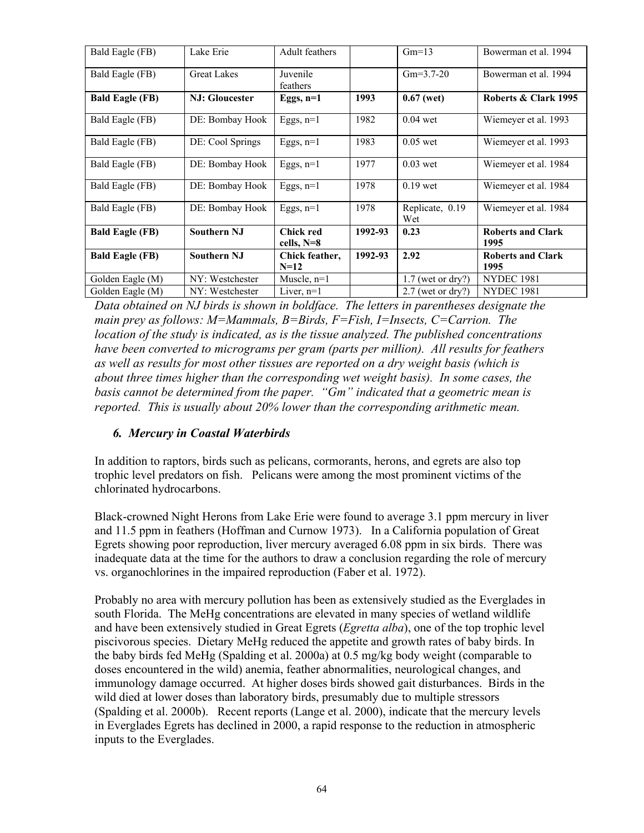| Bald Eagle (FB)        | Lake Erie          | <b>Adult feathers</b>          |         | $Gm=13$                | Bowerman et al. 1994             |
|------------------------|--------------------|--------------------------------|---------|------------------------|----------------------------------|
| Bald Eagle (FB)        | <b>Great Lakes</b> | Juvenile<br>feathers           |         | $Gm=3.7-20$            | Bowerman et al. 1994             |
| <b>Bald Eagle (FB)</b> | NJ: Gloucester     | Eggs, $n=1$                    | 1993    | $0.67$ (wet)           | Roberts & Clark 1995             |
| Bald Eagle (FB)        | DE: Bombay Hook    | Eggs, $n=1$                    | 1982    | $0.04$ wet             | Wiemeyer et al. 1993             |
| Bald Eagle (FB)        | DE: Cool Springs   | Eggs, $n=1$                    | 1983    | $0.05$ wet             | Wiemeyer et al. 1993             |
| Bald Eagle (FB)        | DE: Bombay Hook    | Eggs, $n=1$                    | 1977    | $0.03$ wet             | Wiemeyer et al. 1984             |
| Bald Eagle (FB)        | DE: Bombay Hook    | Eggs, $n=1$                    | 1978    | $0.19$ wet             | Wiemeyer et al. 1984             |
| Bald Eagle (FB)        | DE: Bombay Hook    | Eggs, $n=1$                    | 1978    | Replicate, 0.19<br>Wet | Wiemeyer et al. 1984             |
| <b>Bald Eagle (FB)</b> | <b>Southern NJ</b> | <b>Chick red</b><br>cells, N=8 | 1992-93 | 0.23                   | <b>Roberts and Clark</b><br>1995 |
| <b>Bald Eagle (FB)</b> | <b>Southern NJ</b> | Chick feather,<br>$N=12$       | 1992-93 | 2.92                   | <b>Roberts and Clark</b><br>1995 |
| Golden Eagle (M)       | NY: Westchester    | Muscle, $n=1$                  |         | $1.7$ (wet or dry?)    | <b>NYDEC 1981</b>                |
| Golden Eagle (M)       | NY: Westchester    | Liver, $n=1$                   |         | $2.7$ (wet or dry?)    | <b>NYDEC 1981</b>                |

*Data obtained on NJ birds is shown in boldface. The letters in parentheses designate the main prey as follows: M=Mammals, B=Birds, F=Fish, I=Insects, C=Carrion. The location of the study is indicated, as is the tissue analyzed. The published concentrations have been converted to micrograms per gram (parts per million). All results for feathers as well as results for most other tissues are reported on a dry weight basis (which is about three times higher than the corresponding wet weight basis). In some cases, the basis cannot be determined from the paper. "Gm" indicated that a geometric mean is reported. This is usually about 20% lower than the corresponding arithmetic mean.* 

## *6. Mercury in Coastal Waterbirds*

In addition to raptors, birds such as pelicans, cormorants, herons, and egrets are also top trophic level predators on fish. Pelicans were among the most prominent victims of the chlorinated hydrocarbons.

Black-crowned Night Herons from Lake Erie were found to average 3.1 ppm mercury in liver and 11.5 ppm in feathers (Hoffman and Curnow 1973). In a California population of Great Egrets showing poor reproduction, liver mercury averaged 6.08 ppm in six birds. There was inadequate data at the time for the authors to draw a conclusion regarding the role of mercury vs. organochlorines in the impaired reproduction (Faber et al. 1972).

Probably no area with mercury pollution has been as extensively studied as the Everglades in south Florida. The MeHg concentrations are elevated in many species of wetland wildlife and have been extensively studied in Great Egrets (*Egretta alba*), one of the top trophic level piscivorous species. Dietary MeHg reduced the appetite and growth rates of baby birds. In the baby birds fed MeHg (Spalding et al. 2000a) at 0.5 mg/kg body weight (comparable to doses encountered in the wild) anemia, feather abnormalities, neurological changes, and immunology damage occurred. At higher doses birds showed gait disturbances. Birds in the wild died at lower doses than laboratory birds, presumably due to multiple stressors (Spalding et al. 2000b). Recent reports (Lange et al. 2000), indicate that the mercury levels in Everglades Egrets has declined in 2000, a rapid response to the reduction in atmospheric inputs to the Everglades.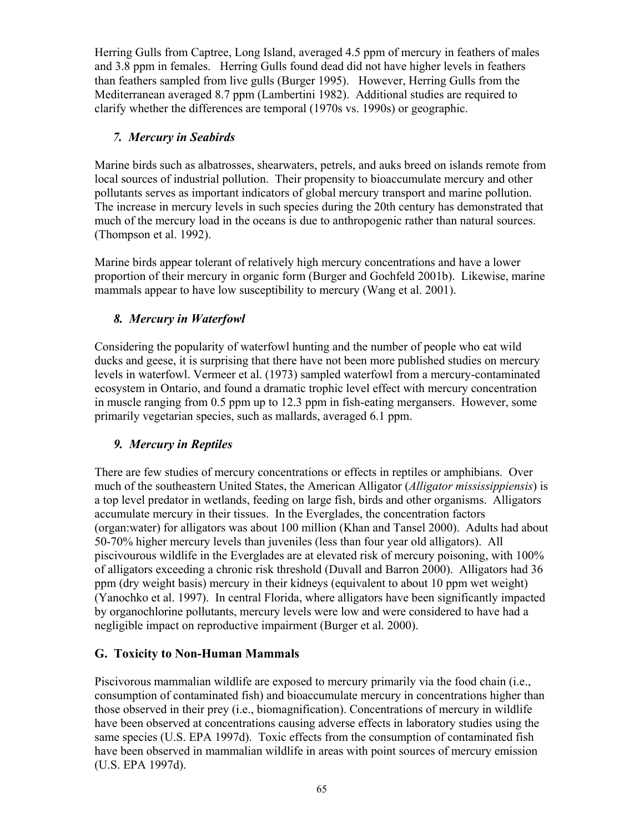Herring Gulls from Captree, Long Island, averaged 4.5 ppm of mercury in feathers of males and 3.8 ppm in females. Herring Gulls found dead did not have higher levels in feathers than feathers sampled from live gulls (Burger 1995). However, Herring Gulls from the Mediterranean averaged 8.7 ppm (Lambertini 1982). Additional studies are required to clarify whether the differences are temporal (1970s vs. 1990s) or geographic.

#### *7. Mercury in Seabirds*

Marine birds such as albatrosses, shearwaters, petrels, and auks breed on islands remote from local sources of industrial pollution. Their propensity to bioaccumulate mercury and other pollutants serves as important indicators of global mercury transport and marine pollution. The increase in mercury levels in such species during the 20th century has demonstrated that much of the mercury load in the oceans is due to anthropogenic rather than natural sources. (Thompson et al. 1992).

Marine birds appear tolerant of relatively high mercury concentrations and have a lower proportion of their mercury in organic form (Burger and Gochfeld 2001b). Likewise, marine mammals appear to have low susceptibility to mercury (Wang et al. 2001).

## *8. Mercury in Waterfowl*

Considering the popularity of waterfowl hunting and the number of people who eat wild ducks and geese, it is surprising that there have not been more published studies on mercury levels in waterfowl. Vermeer et al. (1973) sampled waterfowl from a mercury-contaminated ecosystem in Ontario, and found a dramatic trophic level effect with mercury concentration in muscle ranging from 0.5 ppm up to 12.3 ppm in fish-eating mergansers. However, some primarily vegetarian species, such as mallards, averaged 6.1 ppm.

## *9. Mercury in Reptiles*

There are few studies of mercury concentrations or effects in reptiles or amphibians. Over much of the southeastern United States, the American Alligator (*Alligator mississippiensis*) is a top level predator in wetlands, feeding on large fish, birds and other organisms. Alligators accumulate mercury in their tissues. In the Everglades, the concentration factors (organ:water) for alligators was about 100 million (Khan and Tansel 2000). Adults had about 50-70% higher mercury levels than juveniles (less than four year old alligators). All piscivourous wildlife in the Everglades are at elevated risk of mercury poisoning, with 100% of alligators exceeding a chronic risk threshold (Duvall and Barron 2000). Alligators had 36 ppm (dry weight basis) mercury in their kidneys (equivalent to about 10 ppm wet weight) (Yanochko et al. 1997). In central Florida, where alligators have been significantly impacted by organochlorine pollutants, mercury levels were low and were considered to have had a negligible impact on reproductive impairment (Burger et al. 2000).

## **G. Toxicity to Non-Human Mammals**

Piscivorous mammalian wildlife are exposed to mercury primarily via the food chain (i.e., consumption of contaminated fish) and bioaccumulate mercury in concentrations higher than those observed in their prey (i.e., biomagnification). Concentrations of mercury in wildlife have been observed at concentrations causing adverse effects in laboratory studies using the same species (U.S. EPA 1997d). Toxic effects from the consumption of contaminated fish have been observed in mammalian wildlife in areas with point sources of mercury emission (U.S. EPA 1997d).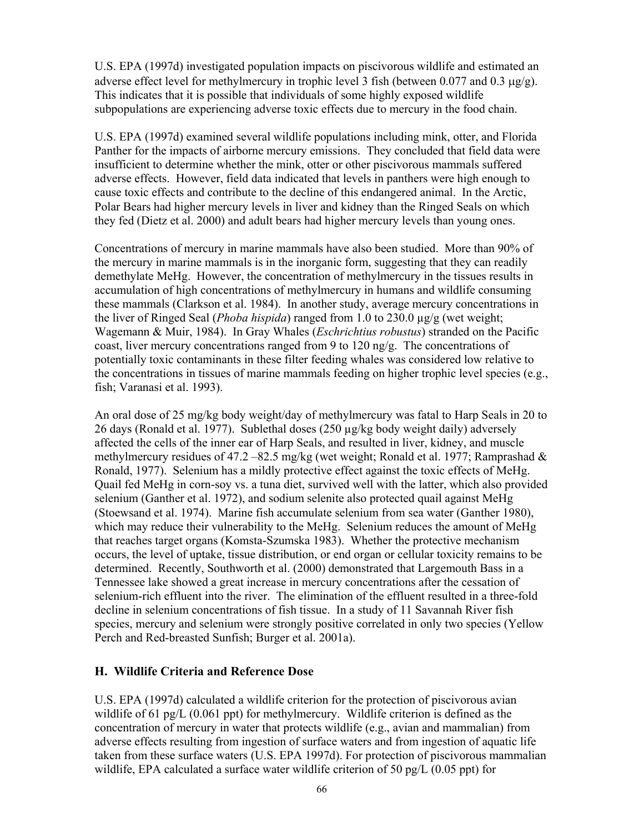U.S. EPA (1997d) investigated population impacts on piscivorous wildlife and estimated an adverse effect level for methylmercury in trophic level 3 fish (between  $0.077$  and  $0.3 \mu g/g$ ). This indicates that it is possible that individuals of some highly exposed wildlife subpopulations are experiencing adverse toxic effects due to mercury in the food chain.

U.S. EPA (1997d) examined several wildlife populations including mink, otter, and Florida Panther for the impacts of airborne mercury emissions. They concluded that field data were insufficient to determine whether the mink, otter or other piscivorous mammals suffered adverse effects. However, field data indicated that levels in panthers were high enough to cause toxic effects and contribute to the decline of this endangered animal. In the Arctic, Polar Bears had higher mercury levels in liver and kidney than the Ringed Seals on which they fed (Dietz et al. 2000) and adult bears had higher mercury levels than young ones.

Concentrations of mercury in marine mammals have also been studied. More than 90% of the mercury in marine mammals is in the inorganic form, suggesting that they can readily demethylate MeHg. However, the concentration of methylmercury in the tissues results in accumulation of high concentrations of methylmercury in humans and wildlife consuming these mammals (Clarkson et al. 1984). In another study, average mercury concentrations in the liver of Ringed Seal (*Phoba hispida*) ranged from 1.0 to 230.0 µg/g (wet weight; Wagemann & Muir, 1984). In Gray Whales (*Eschrichtius robustus*) stranded on the Pacific coast, liver mercury concentrations ranged from 9 to 120 ng/g. The concentrations of potentially toxic contaminants in these filter feeding whales was considered low relative to the concentrations in tissues of marine mammals feeding on higher trophic level species (e.g., fish; Varanasi et al. 1993).

An oral dose of 25 mg/kg body weight/day of methylmercury was fatal to Harp Seals in 20 to 26 days (Ronald et al. 1977). Sublethal doses (250 µg/kg body weight daily) adversely affected the cells of the inner ear of Harp Seals, and resulted in liver, kidney, and muscle methylmercury residues of 47.2 –82.5 mg/kg (wet weight; Ronald et al. 1977; Ramprashad  $\&$ Ronald, 1977). Selenium has a mildly protective effect against the toxic effects of MeHg. Quail fed MeHg in corn-soy vs. a tuna diet, survived well with the latter, which also provided selenium (Ganther et al. 1972), and sodium selenite also protected quail against MeHg (Stoewsand et al. 1974). Marine fish accumulate selenium from sea water (Ganther 1980), which may reduce their vulnerability to the MeHg. Selenium reduces the amount of MeHg that reaches target organs (Komsta-Szumska 1983). Whether the protective mechanism occurs, the level of uptake, tissue distribution, or end organ or cellular toxicity remains to be determined. Recently, Southworth et al. (2000) demonstrated that Largemouth Bass in a Tennessee lake showed a great increase in mercury concentrations after the cessation of selenium-rich effluent into the river. The elimination of the effluent resulted in a three-fold decline in selenium concentrations of fish tissue. In a study of 11 Savannah River fish species, mercury and selenium were strongly positive correlated in only two species (Yellow Perch and Red-breasted Sunfish; Burger et al. 2001a).

#### **H. Wildlife Criteria and Reference Dose**

U.S. EPA (1997d) calculated a wildlife criterion for the protection of piscivorous avian wildlife of 61 pg/L (0.061 ppt) for methylmercury. Wildlife criterion is defined as the concentration of mercury in water that protects wildlife (e.g., avian and mammalian) from adverse effects resulting from ingestion of surface waters and from ingestion of aquatic life taken from these surface waters (U.S. EPA 1997d). For protection of piscivorous mammalian wildlife, EPA calculated a surface water wildlife criterion of 50 pg/L (0.05 ppt) for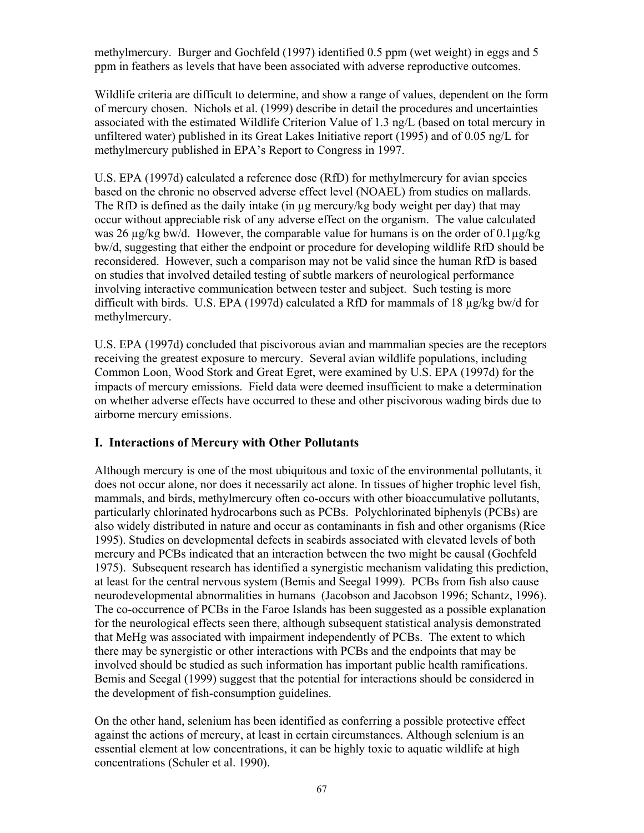methylmercury. Burger and Gochfeld (1997) identified 0.5 ppm (wet weight) in eggs and 5 ppm in feathers as levels that have been associated with adverse reproductive outcomes.

Wildlife criteria are difficult to determine, and show a range of values, dependent on the form of mercury chosen. Nichols et al. (1999) describe in detail the procedures and uncertainties associated with the estimated Wildlife Criterion Value of 1.3 ng/L (based on total mercury in unfiltered water) published in its Great Lakes Initiative report (1995) and of 0.05 ng/L for methylmercury published in EPA's Report to Congress in 1997.

U.S. EPA (1997d) calculated a reference dose (RfD) for methylmercury for avian species based on the chronic no observed adverse effect level (NOAEL) from studies on mallards. The RfD is defined as the daily intake (in  $\mu$ g mercury/kg body weight per day) that may occur without appreciable risk of any adverse effect on the organism. The value calculated was 26  $\mu$ g/kg bw/d. However, the comparable value for humans is on the order of 0.1 $\mu$ g/kg bw/d, suggesting that either the endpoint or procedure for developing wildlife RfD should be reconsidered. However, such a comparison may not be valid since the human RfD is based on studies that involved detailed testing of subtle markers of neurological performance involving interactive communication between tester and subject. Such testing is more difficult with birds. U.S. EPA (1997d) calculated a RfD for mammals of 18  $\mu$ g/kg bw/d for methylmercury.

U.S. EPA (1997d) concluded that piscivorous avian and mammalian species are the receptors receiving the greatest exposure to mercury. Several avian wildlife populations, including Common Loon, Wood Stork and Great Egret, were examined by U.S. EPA (1997d) for the impacts of mercury emissions. Field data were deemed insufficient to make a determination on whether adverse effects have occurred to these and other piscivorous wading birds due to airborne mercury emissions.

#### **I. Interactions of Mercury with Other Pollutants**

Although mercury is one of the most ubiquitous and toxic of the environmental pollutants, it does not occur alone, nor does it necessarily act alone. In tissues of higher trophic level fish, mammals, and birds, methylmercury often co-occurs with other bioaccumulative pollutants, particularly chlorinated hydrocarbons such as PCBs. Polychlorinated biphenyls (PCBs) are also widely distributed in nature and occur as contaminants in fish and other organisms (Rice 1995). Studies on developmental defects in seabirds associated with elevated levels of both mercury and PCBs indicated that an interaction between the two might be causal (Gochfeld 1975). Subsequent research has identified a synergistic mechanism validating this prediction, at least for the central nervous system (Bemis and Seegal 1999). PCBs from fish also cause neurodevelopmental abnormalities in humans (Jacobson and Jacobson 1996; Schantz, 1996). The co-occurrence of PCBs in the Faroe Islands has been suggested as a possible explanation for the neurological effects seen there, although subsequent statistical analysis demonstrated that MeHg was associated with impairment independently of PCBs. The extent to which there may be synergistic or other interactions with PCBs and the endpoints that may be involved should be studied as such information has important public health ramifications. Bemis and Seegal (1999) suggest that the potential for interactions should be considered in the development of fish-consumption guidelines.

On the other hand, selenium has been identified as conferring a possible protective effect against the actions of mercury, at least in certain circumstances. Although selenium is an essential element at low concentrations, it can be highly toxic to aquatic wildlife at high concentrations (Schuler et al. 1990).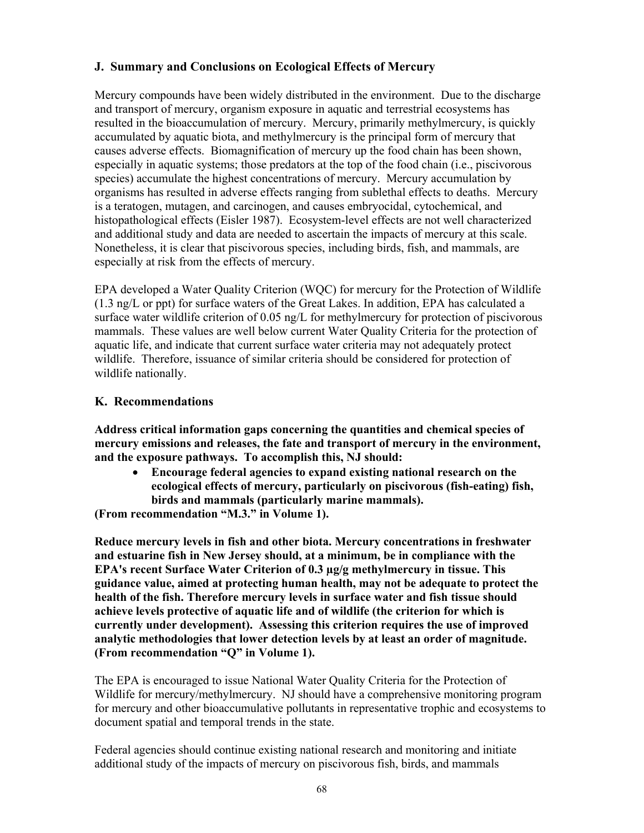## **J. Summary and Conclusions on Ecological Effects of Mercury**

Mercury compounds have been widely distributed in the environment. Due to the discharge and transport of mercury, organism exposure in aquatic and terrestrial ecosystems has resulted in the bioaccumulation of mercury. Mercury, primarily methylmercury, is quickly accumulated by aquatic biota, and methylmercury is the principal form of mercury that causes adverse effects. Biomagnification of mercury up the food chain has been shown, especially in aquatic systems; those predators at the top of the food chain (i.e., piscivorous species) accumulate the highest concentrations of mercury. Mercury accumulation by organisms has resulted in adverse effects ranging from sublethal effects to deaths. Mercury is a teratogen, mutagen, and carcinogen, and causes embryocidal, cytochemical, and histopathological effects (Eisler 1987). Ecosystem-level effects are not well characterized and additional study and data are needed to ascertain the impacts of mercury at this scale. Nonetheless, it is clear that piscivorous species, including birds, fish, and mammals, are especially at risk from the effects of mercury.

EPA developed a Water Quality Criterion (WQC) for mercury for the Protection of Wildlife (1.3 ng/L or ppt) for surface waters of the Great Lakes. In addition, EPA has calculated a surface water wildlife criterion of 0.05 ng/L for methylmercury for protection of piscivorous mammals. These values are well below current Water Quality Criteria for the protection of aquatic life, and indicate that current surface water criteria may not adequately protect wildlife. Therefore, issuance of similar criteria should be considered for protection of wildlife nationally.

## **K. Recommendations**

**Address critical information gaps concerning the quantities and chemical species of mercury emissions and releases, the fate and transport of mercury in the environment, and the exposure pathways. To accomplish this, NJ should:** 

• **Encourage federal agencies to expand existing national research on the ecological effects of mercury, particularly on piscivorous (fish-eating) fish, birds and mammals (particularly marine mammals).** 

**(From recommendation "M.3." in Volume 1).**

**Reduce mercury levels in fish and other biota. Mercury concentrations in freshwater and estuarine fish in New Jersey should, at a minimum, be in compliance with the EPA's recent Surface Water Criterion of 0.3 µg/g methylmercury in tissue. This guidance value, aimed at protecting human health, may not be adequate to protect the health of the fish. Therefore mercury levels in surface water and fish tissue should achieve levels protective of aquatic life and of wildlife (the criterion for which is currently under development). Assessing this criterion requires the use of improved analytic methodologies that lower detection levels by at least an order of magnitude. (From recommendation "Q" in Volume 1).** 

The EPA is encouraged to issue National Water Quality Criteria for the Protection of Wildlife for mercury/methylmercury. NJ should have a comprehensive monitoring program for mercury and other bioaccumulative pollutants in representative trophic and ecosystems to document spatial and temporal trends in the state.

Federal agencies should continue existing national research and monitoring and initiate additional study of the impacts of mercury on piscivorous fish, birds, and mammals